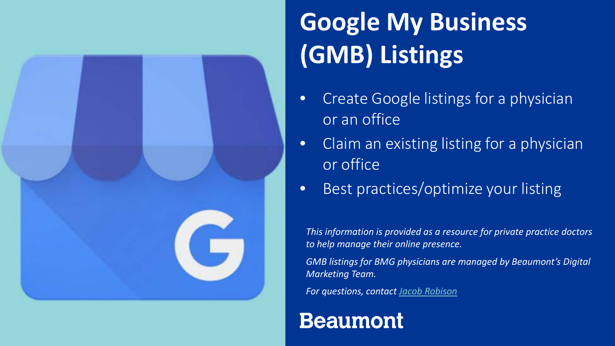

## **Google My Business (GMB) Listings**

- Create Google listings for a physician or an office
- Claim an existing listing for a physician or office
- Best practices/optimize your listing

*This information is provided as a resource for private practice doctors to help manage their online presence.*

*GMB listings for BMG physicians are managed by Beaumont's Digital Marketing Team.* 

*For questions, contact [Jacob Robison](mailto:Jacob.Robison@beaumont.org?subject=Google%20My%20Business)*

#### **Beaumont**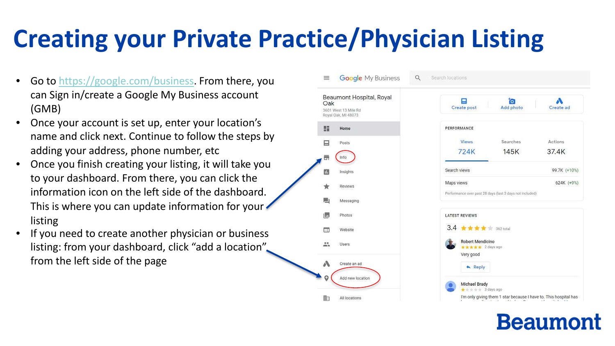### **Creating your Private Practice/Physician Listing**

- Go to<https://google.com/business>. From there, you can Sign in/create a Google My Business account (GMB)
- Once your account is set up, enter your location's name and click next. Continue to follow the steps by adding your address, phone number, etc
- Once you finish creating your listing, it will take you to your dashboard. From there, you can click the information icon on the left side of the dashboard. This is where you can update information for your listing
- If you need to create another physician or business listing: from your dashboard, click "add a location" from the left side of the page

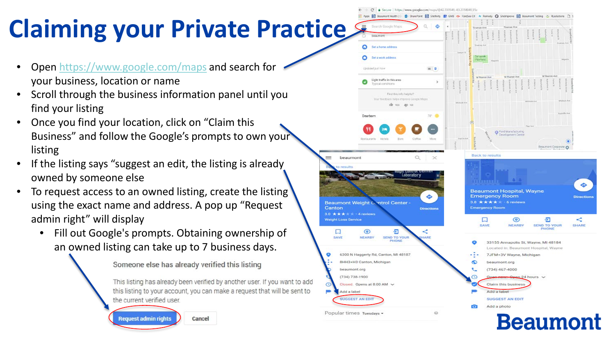# **Claiming your Private Practice**

- Open<https://www.google.com/maps> and search for your business, location or name
- Scroll through the business information panel until you find your listing
- Once you find your location, click on "Claim this Business" and follow the Google's prompts to own your listing
- If the listing says "suggest an edit, the listing is already owned by someone else
- To request access to an owned listing, create the listing using the exact name and address. A pop up "Request admin right" will display
	- an owned listing can take up to 7 business days. • Fill out Google's prompts. Obtaining ownership of

Someone else has already verified this listing

This listing has already been verified by another user. If you want to add this listing to your account, you can make a request that will be sent to the current verified user.



Apps **121** Beaumont Health ID **B** SharePoint ET Stefinity **BP** GMB into ForeSee CK . At Remedy **Q** Stellmerove ET Beaumont Testing & Rusolutions (1) S Q Set a home addres Ô Set a work addres  $B = 0$ **Unduted and now** Light traffic in this area volcal conditions Find this info helpful? Your feedback helps improve Google Maps the year and so Dearbor  $20^4 - 60$ O Ford Manufacturing **Development Cent Back to result**  $\Omega$ **Beaumont Hospital, Wayne**  $\ddot{\bullet}$ **Emergency Room Beaumont Weight Control Center Margancy Boom Directions** 3.0  $\star \star \star$   $\star$   $\star$   $\cdot$  4 reviews  $\odot$ □ Ð ≺ SAVE NEARBY SEND TO YOUR SHARE PHONE  $\odot$ Ð NEARBY **SEND TO YOU!** PHONE 33155 Annapolis St. Wayne, MI 48184 Located in: Beaumont Hospital, Wayne 6300 N Haggerty Rd, Canton, MI 48187 7JFM+3V Wayne, Michigan 8HH3+H3 Canton, Michigan beaumont.org beaumont ord  $(734)$  467-4000  $(734) 738 - 1900$  $24$  hours  $\vee$ Closed. Opens at 8:00 AM  $\sim$ Claim this business Add a label **UCCEST AN EDI SUGGEST AN EDIT** Add a photo Popular times Tuesdays . ö **Beaumont** 

Secure | https://www.google.com/maps/@42.339549,-83.2058049,15z

beaumont

Canton

SAVE

**Weight Loss Service** 

Add a label